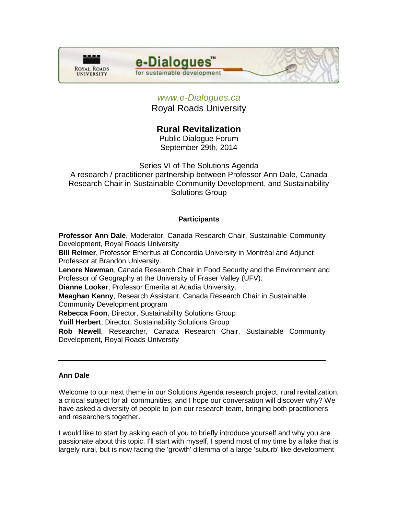

# e-Dialogues

for sustainable development

## *[www.e-Dialogues.ca](http://www.e-dialogues.ca/)*

Royal Roads University

# **Rural Revitalization**

Public Dialogue Forum September 29th, 2014

Series VI of The Solutions Agenda

A research / practitioner partnership between Professor Ann Dale, Canada Research Chair in Sustainable Community Development, and Sustainability Solutions Group

## **Participants**

**Professor Ann Dale**, Moderator, Canada Research Chair, Sustainable Community Development, Royal Roads University **Bill Reimer**, Professor Emeritus at Concordia University in Montréal and Adjunct Professor at Brandon University. **Lenore Newman**, Canada Research Chair in Food Security and the Environment and Professor of Geography at the University of Fraser Valley (UFV). **Dianne Looker**, Professor Emerita at Acadia University.

**Meaghan Kenny**, Research Assistant, Canada Research Chair in Sustainable Community Development program

**Rebecca Foon**, Director, Sustainability Solutions Group

**Yuill Herbert**, Director, Sustainability Solutions Group

**Rob Newell**, Researcher, Canada Research Chair, Sustainable Community Development, Royal Roads University

## **Ann Dale**

Welcome to our next theme in our Solutions Agenda research project, rural revitalization, a critical subject for all communities, and I hope our conversation will discover why? We have asked a diversity of people to join our research team, bringing both practitioners and researchers together.

I would like to start by asking each of you to briefly introduce yourself and why you are passionate about this topic. I'll start with myself, I spend most of my time by a lake that is largely rural, but is now facing the 'growth' dilemma of a large 'suburb' like development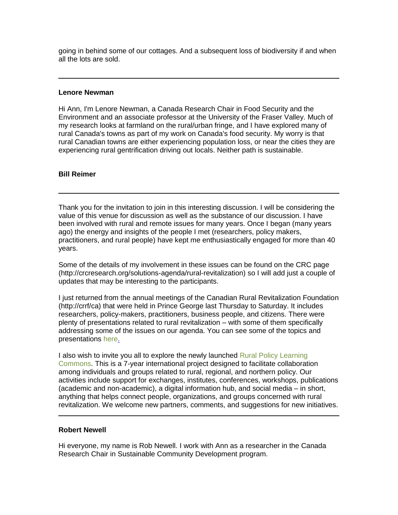going in behind some of our cottages. And a subsequent loss of biodiversity if and when all the lots are sold.

#### **Lenore Newman**

Hi Ann, I'm Lenore Newman, a Canada Research Chair in Food Security and the Environment and an associate professor at the University of the Fraser Valley. Much of my research looks at farmland on the rural/urban fringe, and I have explored many of rural Canada's towns as part of my work on Canada's food security. My worry is that rural Canadian towns are either experiencing population loss, or near the cities they are experiencing rural gentrification driving out locals. Neither path is sustainable.

#### **Bill Reimer**

Thank you for the invitation to join in this interesting discussion. I will be considering the value of this venue for discussion as well as the substance of our discussion. I have been involved with rural and remote issues for many years. Once I began (many years ago) the energy and insights of the people I met (researchers, policy makers, practitioners, and rural people) have kept me enthusiastically engaged for more than 40 years.

Some of the details of my involvement in these issues can be found on the CRC page (http://crcresearch.org/solutions-agenda/rural-revitalization) so I will add just a couple of updates that may be interesting to the participants.

I just returned from the annual meetings of the Canadian Rural Revitalization Foundation (http://crrf/ca) that were held in Prince George last Thursday to Saturday. It includes researchers, policy-makers, practitioners, business people, and citizens. There were plenty of presentations related to rural revitalization – with some of them specifically addressing some of the issues on our agenda. You can see some of the topics and presentations [here.](http://billreimer.net/CRRF/?page_id=2672)

I also wish to invite you all to explore the newly launched Rural Policy Learning [Commons.](http://rplc-capr.ca/) This is a 7-year international project designed to facilitate collaboration among individuals and groups related to rural, regional, and northern policy. Our activities include support for exchanges, institutes, conferences, workshops, publications (academic and non-academic), a digital information hub, and social media – in short, anything that helps connect people, organizations, and groups concerned with rural revitalization. We welcome new partners, comments, and suggestions for new initiatives.

#### **Robert Newell**

Hi everyone, my name is Rob Newell. I work with Ann as a researcher in the Canada Research Chair in Sustainable Community Development program.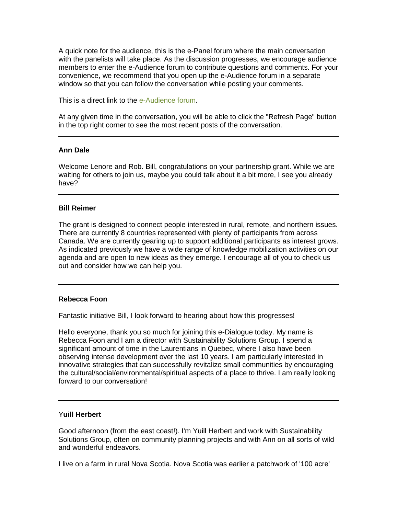A quick note for the audience, this is the e-Panel forum where the main conversation with the panelists will take place. As the discussion progresses, we encourage audience members to enter the e-Audience forum to contribute questions and comments. For your convenience, we recommend that you open up the e-Audience forum in a separate window so that you can follow the conversation while posting your comments.

This is a direct link to the [e-Audience forum.](http://crcresearch.org/edialogues/eforum/viewtopic.php?p=9225&sid=4ae905ce569ef3172af4a0455598cbc4#9225)

At any given time in the conversation, you will be able to click the "Refresh Page" button in the top right corner to see the most recent posts of the conversation.

#### **Ann Dale**

Welcome Lenore and Rob. Bill, congratulations on your partnership grant. While we are waiting for others to join us, maybe you could talk about it a bit more, I see you already have?

#### **Bill Reimer**

The grant is designed to connect people interested in rural, remote, and northern issues. There are currently 8 countries represented with plenty of participants from across Canada. We are currently gearing up to support additional participants as interest grows. As indicated previously we have a wide range of knowledge mobilization activities on our agenda and are open to new ideas as they emerge. I encourage all of you to check us out and consider how we can help you.

#### **Rebecca Foon**

Fantastic initiative Bill, I look forward to hearing about how this progresses!

Hello everyone, thank you so much for joining this e-Dialogue today. My name is Rebecca Foon and I am a director with Sustainability Solutions Group. I spend a significant amount of time in the Laurentians in Quebec, where I also have been observing intense development over the last 10 years. I am particularly interested in innovative strategies that can successfully revitalize small communities by encouraging the cultural/social/environmental/spiritual aspects of a place to thrive. I am really looking forward to our conversation!

#### Y**uill Herbert**

Good afternoon (from the east coast!). I'm Yuill Herbert and work with Sustainability Solutions Group, often on community planning projects and with Ann on all sorts of wild and wonderful endeavors.

I live on a farm in rural Nova Scotia. Nova Scotia was earlier a patchwork of '100 acre'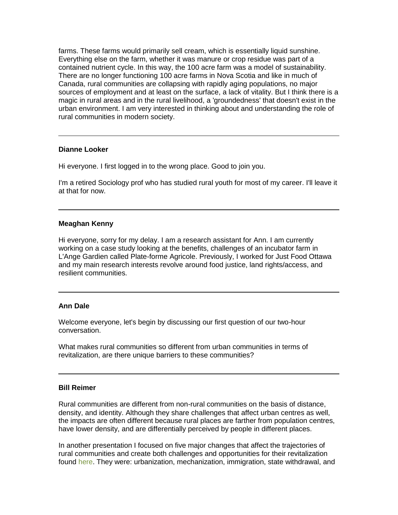farms. These farms would primarily sell cream, which is essentially liquid sunshine. Everything else on the farm, whether it was manure or crop residue was part of a contained nutrient cycle. In this way, the 100 acre farm was a model of sustainability. There are no longer functioning 100 acre farms in Nova Scotia and like in much of Canada, rural communities are collapsing with rapidly aging populations, no major sources of employment and at least on the surface, a lack of vitality. But I think there is a magic in rural areas and in the rural livelihood, a 'groundedness' that doesn't exist in the urban environment. I am very interested in thinking about and understanding the role of rural communities in modern society.

#### **Dianne Looker**

Hi everyone. I first logged in to the wrong place. Good to join you.

I'm a retired Sociology prof who has studied rural youth for most of my career. I'll leave it at that for now.

#### **Meaghan Kenny**

Hi everyone, sorry for my delay. I am a research assistant for Ann. I am currently working on a case study looking at the benefits, challenges of an incubator farm in L'Ange Gardien called Plate-forme Agricole. Previously, I worked for Just Food Ottawa and my main research interests revolve around food justice, land rights/access, and resilient communities.

#### **Ann Dale**

Welcome everyone, let's begin by discussing our first question of our two-hour conversation.

What makes rural communities so different from urban communities in terms of revitalization, are there unique barriers to these communities?

#### **Bill Reimer**

Rural communities are different from non-rural communities on the basis of distance, density, and identity. Although they share challenges that affect urban centres as well, the impacts are often different because rural places are farther from population centres, have lower density, and are differentially perceived by people in different places.

In another presentation I focused on five major changes that affect the trajectories of rural communities and create both challenges and opportunities for their revitalization found [here.](http://billreimer.net/workshop/research/files/Reimer4HarrisCentreSynergySession20130731.pdf) They were: urbanization, mechanization, immigration, state withdrawal, and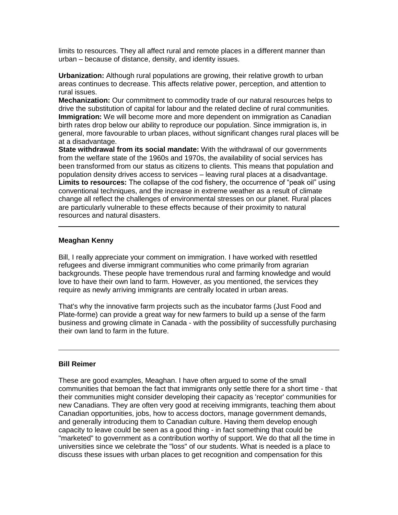limits to resources. They all affect rural and remote places in a different manner than urban – because of distance, density, and identity issues.

**Urbanization:** Although rural populations are growing, their relative growth to urban areas continues to decrease. This affects relative power, perception, and attention to rural issues.

**Mechanization:** Our commitment to commodity trade of our natural resources helps to drive the substitution of capital for labour and the related decline of rural communities. **Immigration:** We will become more and more dependent on immigration as Canadian birth rates drop below our ability to reproduce our population. Since immigration is, in general, more favourable to urban places, without significant changes rural places will be at a disadvantage.

**State withdrawal from its social mandate:** With the withdrawal of our governments from the welfare state of the 1960s and 1970s, the availability of social services has been transformed from our status as citizens to clients. This means that population and population density drives access to services – leaving rural places at a disadvantage. **Limits to resources:** The collapse of the cod fishery, the occurrence of "peak oil" using conventional techniques, and the increase in extreme weather as a result of climate change all reflect the challenges of environmental stresses on our planet. Rural places are particularly vulnerable to these effects because of their proximity to natural resources and natural disasters.

#### **Meaghan Kenny**

Bill, I really appreciate your comment on immigration. I have worked with resettled refugees and diverse immigrant communities who come primarily from agrarian backgrounds. These people have tremendous rural and farming knowledge and would love to have their own land to farm. However, as you mentioned, the services they require as newly arriving immigrants are centrally located in urban areas.

That's why the innovative farm projects such as the incubator farms (Just Food and Plate-forme) can provide a great way for new farmers to build up a sense of the farm business and growing climate in Canada - with the possibility of successfully purchasing their own land to farm in the future.

#### **Bill Reimer**

These are good examples, Meaghan. I have often argued to some of the small communities that bemoan the fact that immigrants only settle there for a short time - that their communities might consider developing their capacity as 'receptor' communities for new Canadians. They are often very good at receiving immigrants, teaching them about Canadian opportunities, jobs, how to access doctors, manage government demands, and generally introducing them to Canadian culture. Having them develop enough capacity to leave could be seen as a good thing - in fact something that could be "marketed" to government as a contribution worthy of support. We do that all the time in universities since we celebrate the "loss" of our students. What is needed is a place to discuss these issues with urban places to get recognition and compensation for this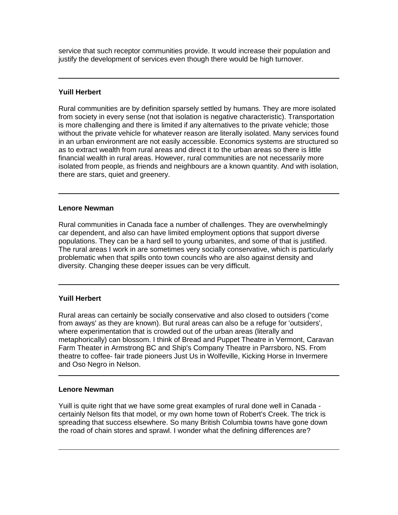service that such receptor communities provide. It would increase their population and justify the development of services even though there would be high turnover.

#### **Yuill Herbert**

Rural communities are by definition sparsely settled by humans. They are more isolated from society in every sense (not that isolation is negative characteristic). Transportation is more challenging and there is limited if any alternatives to the private vehicle; those without the private vehicle for whatever reason are literally isolated. Many services found in an urban environment are not easily accessible. Economics systems are structured so as to extract wealth from rural areas and direct it to the urban areas so there is little financial wealth in rural areas. However, rural communities are not necessarily more isolated from people, as friends and neighbours are a known quantity. And with isolation, there are stars, quiet and greenery.

#### **Lenore Newman**

Rural communities in Canada face a number of challenges. They are overwhelmingly car dependent, and also can have limited employment options that support diverse populations. They can be a hard sell to young urbanites, and some of that is justified. The rural areas I work in are sometimes very socially conservative, which is particularly problematic when that spills onto town councils who are also against density and diversity. Changing these deeper issues can be very difficult.

#### **Yuill Herbert**

Rural areas can certainly be socially conservative and also closed to outsiders ('come from aways' as they are known). But rural areas can also be a refuge for 'outsiders', where experimentation that is crowded out of the urban areas (literally and metaphorically) can blossom. I think of Bread and Puppet Theatre in Vermont, Caravan Farm Theater in Armstrong BC and Ship's Company Theatre in Parrsboro, NS. From theatre to coffee- fair trade pioneers Just Us in Wolfeville, Kicking Horse in Invermere and Oso Negro in Nelson.

#### **Lenore Newman**

Yuill is quite right that we have some great examples of rural done well in Canada certainly Nelson fits that model, or my own home town of Robert's Creek. The trick is spreading that success elsewhere. So many British Columbia towns have gone down the road of chain stores and sprawl. I wonder what the defining differences are?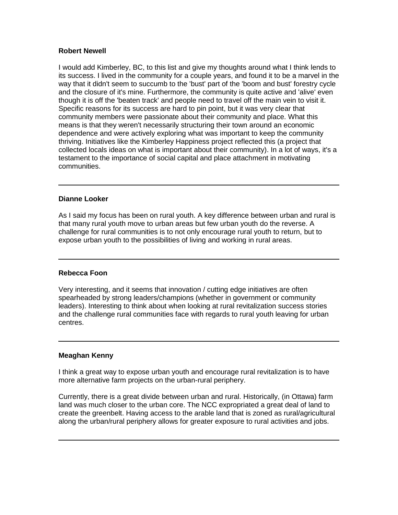## **Robert Newell**

I would add Kimberley, BC, to this list and give my thoughts around what I think lends to its success. I lived in the community for a couple years, and found it to be a marvel in the way that it didn't seem to succumb to the 'bust' part of the 'boom and bust' forestry cycle and the closure of it's mine. Furthermore, the community is quite active and 'alive' even though it is off the 'beaten track' and people need to travel off the main vein to visit it. Specific reasons for its success are hard to pin point, but it was very clear that community members were passionate about their community and place. What this means is that they weren't necessarily structuring their town around an economic dependence and were actively exploring what was important to keep the community thriving. Initiatives like the Kimberley Happiness project reflected this (a project that collected locals ideas on what is important about their community). In a lot of ways, it's a testament to the importance of social capital and place attachment in motivating communities.

#### **Dianne Looker**

As I said my focus has been on rural youth. A key difference between urban and rural is that many rural youth move to urban areas but few urban youth do the reverse. A challenge for rural communities is to not only encourage rural youth to return, but to expose urban youth to the possibilities of living and working in rural areas.

## **Rebecca Foon**

Very interesting, and it seems that innovation / cutting edge initiatives are often spearheaded by strong leaders/champions (whether in government or community leaders). Interesting to think about when looking at rural revitalization success stories and the challenge rural communities face with regards to rural youth leaving for urban centres.

## **Meaghan Kenny**

I think a great way to expose urban youth and encourage rural revitalization is to have more alternative farm projects on the urban-rural periphery.

Currently, there is a great divide between urban and rural. Historically, (in Ottawa) farm land was much closer to the urban core. The NCC expropriated a great deal of land to create the greenbelt. Having access to the arable land that is zoned as rural/agricultural along the urban/rural periphery allows for greater exposure to rural activities and jobs.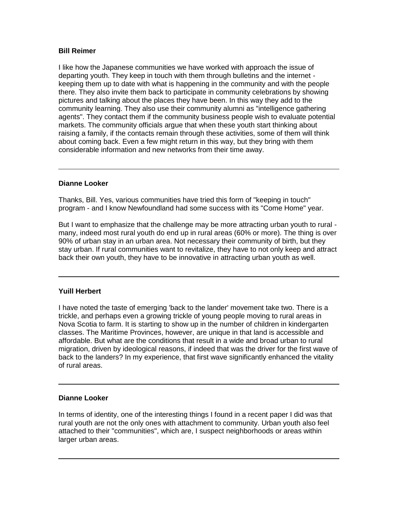## **Bill Reimer**

I like how the Japanese communities we have worked with approach the issue of departing youth. They keep in touch with them through bulletins and the internet keeping them up to date with what is happening in the community and with the people there. They also invite them back to participate in community celebrations by showing pictures and talking about the places they have been. In this way they add to the community learning. They also use their community alumni as "intelligence gathering agents". They contact them if the community business people wish to evaluate potential markets. The community officials argue that when these youth start thinking about raising a family, if the contacts remain through these activities, some of them will think about coming back. Even a few might return in this way, but they bring with them considerable information and new networks from their time away.

#### **Dianne Looker**

Thanks, Bill. Yes, various communities have tried this form of "keeping in touch" program - and I know Newfoundland had some success with its "Come Home" year.

But I want to emphasize that the challenge may be more attracting urban youth to rural many, indeed most rural youth do end up in rural areas (60% or more). The thing is over 90% of urban stay in an urban area. Not necessary their community of birth, but they stay urban. If rural communities want to revitalize, they have to not only keep and attract back their own youth, they have to be innovative in attracting urban youth as well.

#### **Yuill Herbert**

I have noted the taste of emerging 'back to the lander' movement take two. There is a trickle, and perhaps even a growing trickle of young people moving to rural areas in Nova Scotia to farm. It is starting to show up in the number of children in kindergarten classes. The Maritime Provinces, however, are unique in that land is accessible and affordable. But what are the conditions that result in a wide and broad urban to rural migration, driven by ideological reasons, if indeed that was the driver for the first wave of back to the landers? In my experience, that first wave significantly enhanced the vitality of rural areas.

#### **Dianne Looker**

In terms of identity, one of the interesting things I found in a recent paper I did was that rural youth are not the only ones with attachment to community. Urban youth also feel attached to their "communities", which are, I suspect neighborhoods or areas within larger urban areas.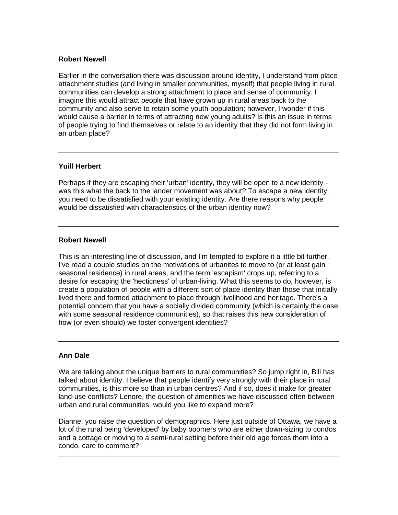#### **Robert Newell**

Earlier in the conversation there was discussion around identity, I understand from place attachment studies (and living in smaller communities, myself) that people living in rural communities can develop a strong attachment to place and sense of community. I imagine this would attract people that have grown up in rural areas back to the community and also serve to retain some youth population; however, I wonder if this would cause a barrier in terms of attracting new young adults? Is this an issue in terms of people trying to find themselves or relate to an identity that they did not form living in an urban place?

## **Yuill Herbert**

Perhaps if they are escaping their 'urban' identity, they will be open to a new identity was this what the back to the lander movement was about? To escape a new identity, you need to be dissatisfied with your existing identity. Are there reasons why people would be dissatisfied with characteristics of the urban identity now?

## **Robert Newell**

This is an interesting line of discussion, and I'm tempted to explore it a little bit further. I've read a couple studies on the motivations of urbanites to move to (or at least gain seasonal residence) in rural areas, and the term 'escapism' crops up, referring to a desire for escaping the 'hecticness' of urban-living. What this seems to do, however, is create a population of people with a different sort of place identity than those that initially lived there and formed attachment to place through livelihood and heritage. There's a potential concern that you have a socially divided community (which is certainly the case with some seasonal residence communities), so that raises this new consideration of how (or even should) we foster convergent identities?

#### **Ann Dale**

We are talking about the unique barriers to rural communities? So jump right in, Bill has talked about identity. I believe that people identify very strongly with their place in rural communities, is this more so than in urban centres? And if so, does it make for greater land-use conflicts? Lenore, the question of amenities we have discussed often between urban and rural communities, would you like to expand more?

Dianne, you raise the question of demographics. Here just outside of Ottawa, we have a lot of the rural being 'developed' by baby boomers who are either down-sizing to condos and a cottage or moving to a semi-rural setting before their old age forces them into a condo, care to comment?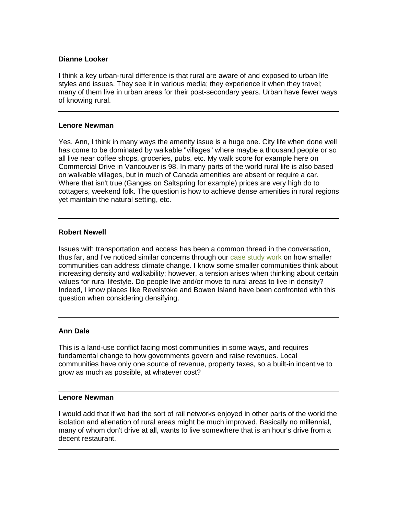#### **Dianne Looker**

I think a key urban-rural difference is that rural are aware of and exposed to urban life styles and issues. They see it in various media; they experience it when they travel; many of them live in urban areas for their post-secondary years. Urban have fewer ways of knowing rural.

#### **Lenore Newman**

Yes, Ann, I think in many ways the amenity issue is a huge one. City life when done well has come to be dominated by walkable "villages" where maybe a thousand people or so all live near coffee shops, groceries, pubs, etc. My walk score for example here on Commercial Drive in Vancouver is 98. In many parts of the world rural life is also based on walkable villages, but in much of Canada amenities are absent or require a car. Where that isn't true (Ganges on Saltspring for example) prices are very high do to cottagers, weekend folk. The question is how to achieve dense amenities in rural regions yet maintain the natural setting, etc.

## **Robert Newell**

Issues with transportation and access has been a common thread in the conversation, thus far, and I've noticed similar concerns through our [case study work](http://mc-3.ca/) on how smaller communities can address climate change. I know some smaller communities think about increasing density and walkability; however, a tension arises when thinking about certain values for rural lifestyle. Do people live and/or move to rural areas to live in density? Indeed, I know places like Revelstoke and Bowen Island have been confronted with this question when considering densifying.

#### **Ann Dale**

This is a land-use conflict facing most communities in some ways, and requires fundamental change to how governments govern and raise revenues. Local communities have only one source of revenue, property taxes, so a built-in incentive to grow as much as possible, at whatever cost?

#### **Lenore Newman**

I would add that if we had the sort of rail networks enjoyed in other parts of the world the isolation and alienation of rural areas might be much improved. Basically no millennial, many of whom don't drive at all, wants to live somewhere that is an hour's drive from a decent restaurant.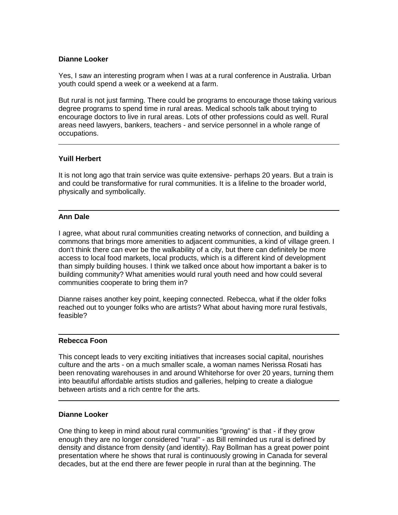## **Dianne Looker**

Yes, I saw an interesting program when I was at a rural conference in Australia. Urban youth could spend a week or a weekend at a farm.

But rural is not just farming. There could be programs to encourage those taking various degree programs to spend time in rural areas. Medical schools talk about trying to encourage doctors to live in rural areas. Lots of other professions could as well. Rural areas need lawyers, bankers, teachers - and service personnel in a whole range of occupations.

## **Yuill Herbert**

It is not long ago that train service was quite extensive- perhaps 20 years. But a train is and could be transformative for rural communities. It is a lifeline to the broader world, physically and symbolically.

#### **Ann Dale**

I agree, what about rural communities creating networks of connection, and building a commons that brings more amenities to adjacent communities, a kind of village green. I don't think there can ever be the walkability of a city, but there can definitely be more access to local food markets, local products, which is a different kind of development than simply building houses. I think we talked once about how important a baker is to building community? What amenities would rural youth need and how could several communities cooperate to bring them in?

Dianne raises another key point, keeping connected. Rebecca, what if the older folks reached out to younger folks who are artists? What about having more rural festivals, feasible?

#### **Rebecca Foon**

This concept leads to very exciting initiatives that increases social capital, nourishes culture and the arts - on a much smaller scale, a woman names Nerissa Rosati has been renovating warehouses in and around Whitehorse for over 20 years, turning them into beautiful affordable artists studios and galleries, helping to create a dialogue between artists and a rich centre for the arts.

#### **Dianne Looker**

One thing to keep in mind about rural communities "growing" is that - if they grow enough they are no longer considered "rural" - as Bill reminded us rural is defined by density and distance from density (and identity). Ray Bollman has a great power point presentation where he shows that rural is continuously growing in Canada for several decades, but at the end there are fewer people in rural than at the beginning. The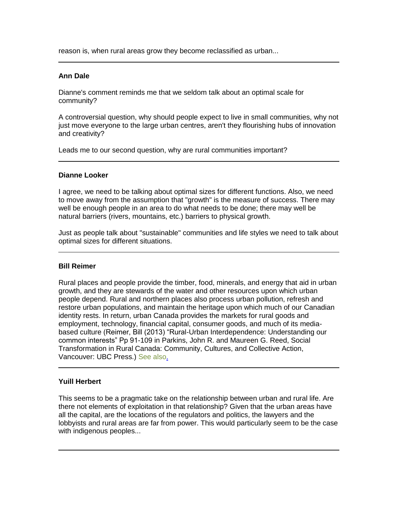reason is, when rural areas grow they become reclassified as urban...

#### **Ann Dale**

Dianne's comment reminds me that we seldom talk about an optimal scale for community?

A controversial question, why should people expect to live in small communities, why not just move everyone to the large urban centres, aren't they flourishing hubs of innovation and creativity?

Leads me to our second question, why are rural communities important?

## **Dianne Looker**

I agree, we need to be talking about optimal sizes for different functions. Also, we need to move away from the assumption that "growth" is the measure of success. There may well be enough people in an area to do what needs to be done; there may well be natural barriers (rivers, mountains, etc.) barriers to physical growth.

Just as people talk about "sustainable" communities and life styles we need to talk about optimal sizes for different situations.

#### **Bill Reimer**

Rural places and people provide the timber, food, minerals, and energy that aid in urban growth, and they are stewards of the water and other resources upon which urban people depend. Rural and northern places also process urban pollution, refresh and restore urban populations, and maintain the heritage upon which much of our Canadian identity rests. In return, urban Canada provides the markets for rural goods and employment, technology, financial capital, consumer goods, and much of its mediabased culture (Reimer, Bill (2013) "Rural-Urban Interdependence: Understanding our common interests" Pp 91-109 in Parkins, John R. and Maureen G. Reed, Social Transformation in Rural Canada: Community, Cultures, and Collective Action, Vancouver: UBC Press.) [See also.](http://billreimer.net/workshop/files/Presentations/ReimerRuralUrbanRuralMattersEdmonton2008V02.pdf)

## **Yuill Herbert**

This seems to be a pragmatic take on the relationship between urban and rural life. Are there not elements of exploitation in that relationship? Given that the urban areas have all the capital, are the locations of the regulators and politics, the lawyers and the lobbyists and rural areas are far from power. This would particularly seem to be the case with indigenous peoples...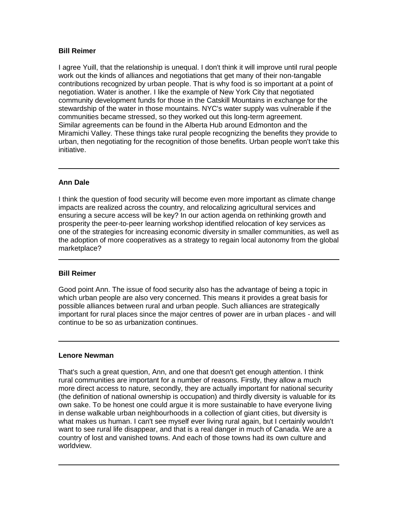## **Bill Reimer**

I agree Yuill, that the relationship is unequal. I don't think it will improve until rural people work out the kinds of alliances and negotiations that get many of their non-tangable contributions recognized by urban people. That is why food is so important at a point of negotiation. Water is another. I like the example of New York City that negotiated community development funds for those in the Catskill Mountains in exchange for the stewardship of the water in those mountains. NYC's water supply was vulnerable if the communities became stressed, so they worked out this long-term agreement. Similar agreements can be found in the Alberta Hub around Edmonton and the Miramichi Valley. These things take rural people recognizing the benefits they provide to urban, then negotiating for the recognition of those benefits. Urban people won't take this initiative.

## **Ann Dale**

I think the question of food security will become even more important as climate change impacts are realized across the country, and relocalizing agricultural services and ensuring a secure access will be key? In our action agenda on rethinking growth and prosperity the peer-to-peer learning workshop identified relocation of key services as one of the strategies for increasing economic diversity in smaller communities, as well as the adoption of more cooperatives as a strategy to regain local autonomy from the global marketplace?

#### **Bill Reimer**

Good point Ann. The issue of food security also has the advantage of being a topic in which urban people are also very concerned. This means it provides a great basis for possible alliances between rural and urban people. Such alliances are strategically important for rural places since the major centres of power are in urban places - and will continue to be so as urbanization continues.

#### **Lenore Newman**

That's such a great question, Ann, and one that doesn't get enough attention. I think rural communities are important for a number of reasons. Firstly, they allow a much more direct access to nature, secondly, they are actually important for national security (the definition of national ownership is occupation) and thirdly diversity is valuable for its own sake. To be honest one could argue it is more sustainable to have everyone living in dense walkable urban neighbourhoods in a collection of giant cities, but diversity is what makes us human. I can't see myself ever living rural again, but I certainly wouldn't want to see rural life disappear, and that is a real danger in much of Canada. We are a country of lost and vanished towns. And each of those towns had its own culture and worldview.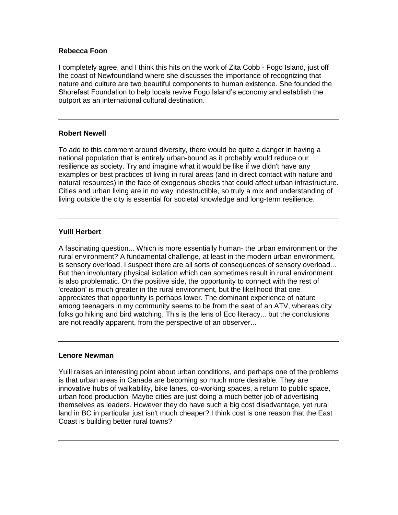## **Rebecca Foon**

I completely agree, and I think this hits on the work of Zita Cobb - Fogo Island, just off the coast of Newfoundland where she discusses the importance of recognizing that nature and culture are two beautiful components to human existence. She founded the Shorefast Foundation to help locals revive Fogo Island's economy and establish the outport as an international cultural destination.

#### **Robert Newell**

To add to this comment around diversity, there would be quite a danger in having a national population that is entirely urban-bound as it probably would reduce our resilience as society. Try and imagine what it would be like if we didn't have any examples or best practices of living in rural areas (and in direct contact with nature and natural resources) in the face of exogenous shocks that could affect urban infrastructure. Cities and urban living are in no way indestructible, so truly a mix and understanding of living outside the city is essential for societal knowledge and long-term resilience.

## **Yuill Herbert**

A fascinating question... Which is more essentially human- the urban environment or the rural environment? A fundamental challenge, at least in the modern urban environment, is sensory overload. I suspect there are all sorts of consequences of sensory overload... But then involuntary physical isolation which can sometimes result in rural environment is also problematic. On the positive side, the opportunity to connect with the rest of 'creation' is much greater in the rural environment, but the likelihood that one appreciates that opportunity is perhaps lower. The dominant experience of nature among teenagers in my community seems to be from the seat of an ATV, whereas city folks go hiking and bird watching. This is the lens of Eco literacy... but the conclusions are not readily apparent, from the perspective of an observer...

#### **Lenore Newman**

Yuill raises an interesting point about urban conditions, and perhaps one of the problems is that urban areas in Canada are becoming so much more desirable. They are innovative hubs of walkability, bike lanes, co-working spaces, a return to public space, urban food production. Maybe cities are just doing a much better job of advertising themselves as leaders. However they do have such a big cost disadvantage, yet rural land in BC in particular just isn't much cheaper? I think cost is one reason that the East Coast is building better rural towns?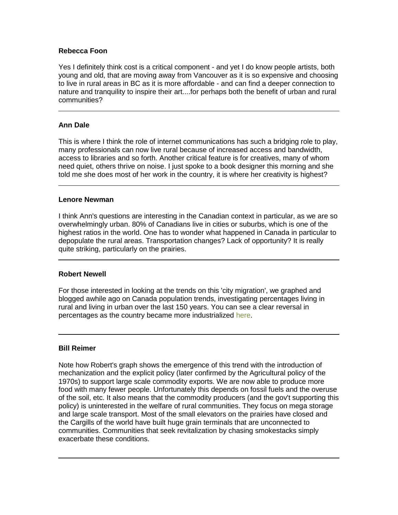## **Rebecca Foon**

Yes I definitely think cost is a critical component - and yet I do know people artists, both young and old, that are moving away from Vancouver as it is so expensive and choosing to live in rural areas in BC as it is more affordable - and can find a deeper connection to nature and tranquility to inspire their art....for perhaps both the benefit of urban and rural communities?

## **Ann Dale**

This is where I think the role of internet communications has such a bridging role to play, many professionals can now live rural because of increased access and bandwidth, access to libraries and so forth. Another critical feature is for creatives, many of whom need quiet, others thrive on noise. I just spoke to a book designer this morning and she told me she does most of her work in the country, it is where her creativity is highest?

#### **Lenore Newman**

I think Ann's questions are interesting in the Canadian context in particular, as we are so overwhelmingly urban. 80% of Canadians live in cities or suburbs, which is one of the highest ratios in the world. One has to wonder what happened in Canada in particular to depopulate the rural areas. Transportation changes? Lack of opportunity? It is really quite striking, particularly on the prairies.

#### **Robert Newell**

For those interested in looking at the trends on this 'city migration', we graphed and blogged awhile ago on Canada population trends, investigating percentages living in rural and living in urban over the last 150 years. You can see a clear reversal in percentages as the country became more industrialized [here.](http://crcresearch.org/crc-blog/patterns-our-footsteps-urban-tsunami)

#### **Bill Reimer**

Note how Robert's graph shows the emergence of this trend with the introduction of mechanization and the explicit policy (later confirmed by the Agricultural policy of the 1970s) to support large scale commodity exports. We are now able to produce more food with many fewer people. Unfortunately this depends on fossil fuels and the overuse of the soil, etc. It also means that the commodity producers (and the gov't supporting this policy) is uninterested in the welfare of rural communities. They focus on mega storage and large scale transport. Most of the small elevators on the prairies have closed and the Cargills of the world have built huge grain terminals that are unconnected to communities. Communities that seek revitalization by chasing smokestacks simply exacerbate these conditions.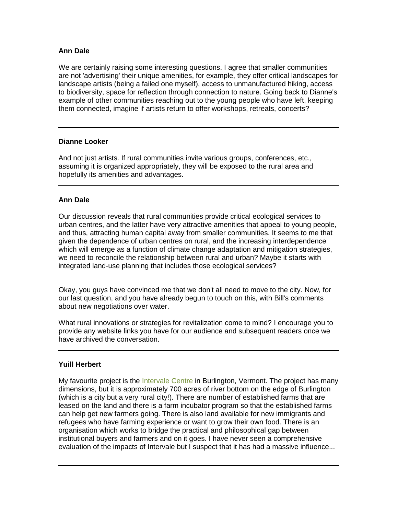## **Ann Dale**

We are certainly raising some interesting questions. I agree that smaller communities are not 'advertising' their unique amenities, for example, they offer critical landscapes for landscape artists (being a failed one myself), access to unmanufactured hiking, access to biodiversity, space for reflection through connection to nature. Going back to Dianne's example of other communities reaching out to the young people who have left, keeping them connected, imagine if artists return to offer workshops, retreats, concerts?

#### **Dianne Looker**

And not just artists. If rural communities invite various groups, conferences, etc., assuming it is organized appropriately, they will be exposed to the rural area and hopefully its amenities and advantages.

## **Ann Dale**

Our discussion reveals that rural communities provide critical ecological services to urban centres, and the latter have very attractive amenities that appeal to young people, and thus, attracting human capital away from smaller communities. It seems to me that given the dependence of urban centres on rural, and the increasing interdependence which will emerge as a function of climate change adaptation and mitigation strategies, we need to reconcile the relationship between rural and urban? Maybe it starts with integrated land-use planning that includes those ecological services?

Okay, you guys have convinced me that we don't all need to move to the city. Now, for our last question, and you have already begun to touch on this, with Bill's comments about new negotiations over water.

What rural innovations or strategies for revitalization come to mind? I encourage you to provide any website links you have for our audience and subsequent readers once we have archived the conversation.

#### **Yuill Herbert**

My favourite project is the [Intervale Centre](http://www.intervale.org/about-us/history/) in Burlington, Vermont. The project has many dimensions, but it is approximately 700 acres of river bottom on the edge of Burlington (which is a city but a very rural city!). There are number of established farms that are leased on the land and there is a farm incubator program so that the established farms can help get new farmers going. There is also land available for new immigrants and refugees who have farming experience or want to grow their own food. There is an organisation which works to bridge the practical and philosophical gap between institutional buyers and farmers and on it goes. I have never seen a comprehensive evaluation of the impacts of Intervale but I suspect that it has had a massive influence...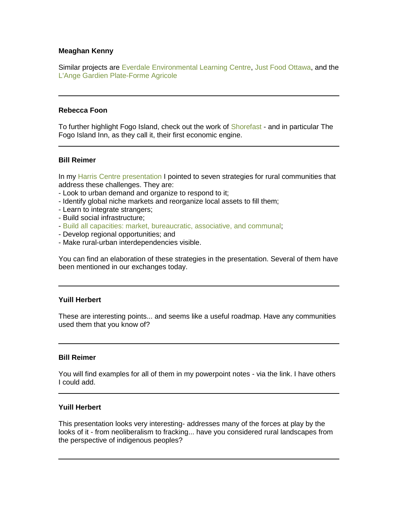## **Meaghan Kenny**

Similar projects are Everdale [Environmental Learning Centre,](http://everdale.org/) [Just Food Ottawa,](http://justfood.ca/) and the [L'Ange Gardien Plate-Forme Agricole](http://www.demarretafermebio.com/)

#### **Rebecca Foon**

To further highlight Fogo Island, check out the work of [Shorefast](http://shorefast.org/our-projects) - and in particular The Fogo Island Inn, as they call it, their first economic engine.

#### **Bill Reimer**

In my [Harris Centre presentation](http://billreimer.net/workshop/research/files/Reimer4HarrisCentreSynergySession20130731.pdf) I pointed to seven strategies for rural communities that address these challenges. They are:

- Look to urban demand and organize to respond to it;
- Identify global niche markets and reorganize local assets to fill them;
- Learn to integrate strangers;
- Build social infrastructure;
- [Build all capacities: market, bureaucratic, associative, and communal;](http://billreimer.net/workshop/files/BillPapers/ReimerEtalSocialCapitalAsSocialRelationsPublicV01.pdf)
- Develop regional opportunities; and
- Make rural-urban interdependencies visible.

You can find an elaboration of these strategies in the presentation. Several of them have been mentioned in our exchanges today.

#### **Yuill Herbert**

These are interesting points... and seems like a useful roadmap. Have any communities used them that you know of?

#### **Bill Reimer**

You will find examples for all of them in my powerpoint notes - via the link. I have others I could add.

#### **Yuill Herbert**

This presentation looks very interesting- addresses many of the forces at play by the looks of it - from neoliberalism to fracking... have you considered rural landscapes from the perspective of indigenous peoples?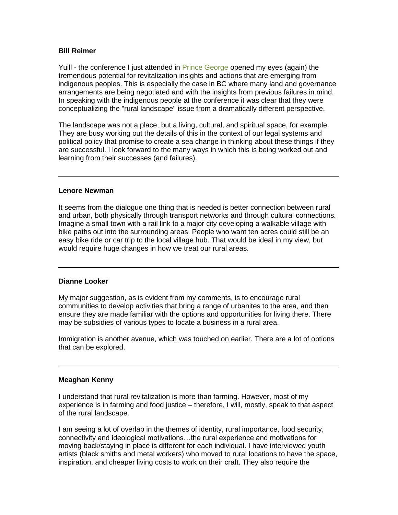## **Bill Reimer**

Yuill - the conference I just attended in [Prince George](http://crrf.ca/) opened my eyes (again) the tremendous potential for revitalization insights and actions that are emerging from indigenous peoples. This is especially the case in BC where many land and governance arrangements are being negotiated and with the insights from previous failures in mind. In speaking with the indigenous people at the conference it was clear that they were conceptualizing the "rural landscape" issue from a dramatically different perspective.

The landscape was not a place, but a living, cultural, and spiritual space, for example. They are busy working out the details of this in the context of our legal systems and political policy that promise to create a sea change in thinking about these things if they are successful. I look forward to the many ways in which this is being worked out and learning from their successes (and failures).

#### **Lenore Newman**

It seems from the dialogue one thing that is needed is better connection between rural and urban, both physically through transport networks and through cultural connections. Imagine a small town with a rail link to a major city developing a walkable village with bike paths out into the surrounding areas. People who want ten acres could still be an easy bike ride or car trip to the local village hub. That would be ideal in my view, but would require huge changes in how we treat our rural areas.

#### **Dianne Looker**

My major suggestion, as is evident from my comments, is to encourage rural communities to develop activities that bring a range of urbanites to the area, and then ensure they are made familiar with the options and opportunities for living there. There may be subsidies of various types to locate a business in a rural area.

Immigration is another avenue, which was touched on earlier. There are a lot of options that can be explored.

#### **Meaghan Kenny**

I understand that rural revitalization is more than farming. However, most of my experience is in farming and food justice – therefore, I will, mostly, speak to that aspect of the rural landscape.

I am seeing a lot of overlap in the themes of identity, rural importance, food security, connectivity and ideological motivations…the rural experience and motivations for moving back/staying in place is different for each individual. I have interviewed youth artists (black smiths and metal workers) who moved to rural locations to have the space, inspiration, and cheaper living costs to work on their craft. They also require the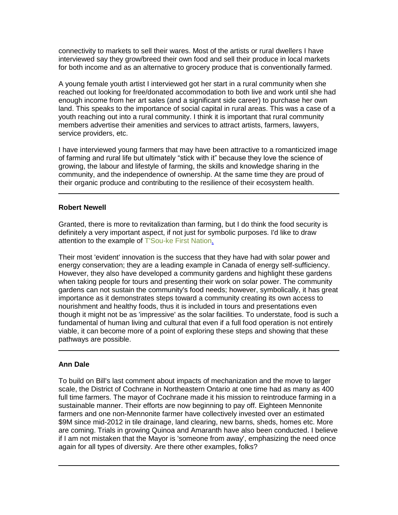connectivity to markets to sell their wares. Most of the artists or rural dwellers I have interviewed say they grow/breed their own food and sell their produce in local markets for both income and as an alternative to grocery produce that is conventionally farmed.

A young female youth artist I interviewed got her start in a rural community when she reached out looking for free/donated accommodation to both live and work until she had enough income from her art sales (and a significant side career) to purchase her own land. This speaks to the importance of social capital in rural areas. This was a case of a youth reaching out into a rural community. I think it is important that rural community members advertise their amenities and services to attract artists, farmers, lawyers, service providers, etc.

I have interviewed young farmers that may have been attractive to a romanticized image of farming and rural life but ultimately "stick with it" because they love the science of growing, the labour and lifestyle of farming, the skills and knowledge sharing in the community, and the independence of ownership. At the same time they are proud of their organic produce and contributing to the resilience of their ecosystem health.

## **Robert Newell**

Granted, there is more to revitalization than farming, but I do think the food security is definitely a very important aspect, if not just for symbolic purposes. I'd like to draw attention to the example of [T'Sou-ke First Nation.](http://www.mc-3.ca/tsou-ke)

Their most 'evident' innovation is the success that they have had with solar power and energy conservation; they are a leading example in Canada of energy self-sufficiency. However, they also have developed a community gardens and highlight these gardens when taking people for tours and presenting their work on solar power. The community gardens can not sustain the community's food needs; however, symbolically, it has great importance as it demonstrates steps toward a community creating its own access to nourishment and healthy foods, thus it is included in tours and presentations even though it might not be as 'impressive' as the solar facilities. To understate, food is such a fundamental of human living and cultural that even if a full food operation is not entirely viable, it can become more of a point of exploring these steps and showing that these pathways are possible.

## **Ann Dale**

To build on Bill's last comment about impacts of mechanization and the move to larger scale, the District of Cochrane in Northeastern Ontario at one time had as many as 400 full time farmers. The mayor of Cochrane made it his mission to reintroduce farming in a sustainable manner. Their efforts are now beginning to pay off. Eighteen Mennonite farmers and one non-Mennonite farmer have collectively invested over an estimated \$9M since mid-2012 in tile drainage, land clearing, new barns, sheds, homes etc. More are coming. Trials in growing Quinoa and Amaranth have also been conducted. I believe if I am not mistaken that the Mayor is 'someone from away', emphasizing the need once again for all types of diversity. Are there other examples, folks?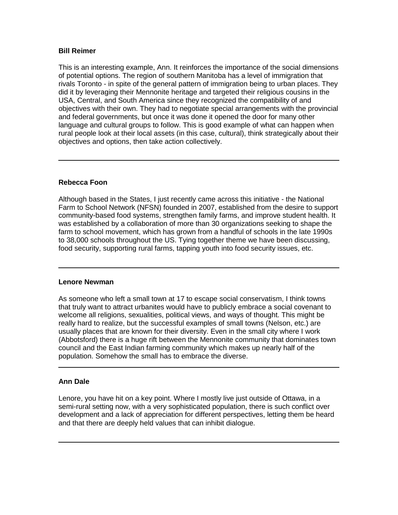## **Bill Reimer**

This is an interesting example, Ann. It reinforces the importance of the social dimensions of potential options. The region of southern Manitoba has a level of immigration that rivals Toronto - in spite of the general pattern of immigration being to urban places. They did it by leveraging their Mennonite heritage and targeted their religious cousins in the USA, Central, and South America since they recognized the compatibility of and objectives with their own. They had to negotiate special arrangements with the provincial and federal governments, but once it was done it opened the door for many other language and cultural groups to follow. This is good example of what can happen when rural people look at their local assets (in this case, cultural), think strategically about their objectives and options, then take action collectively.

## **Rebecca Foon**

Although based in the States, I just recently came across this initiative - the National Farm to School Network (NFSN) founded in 2007, established from the desire to support community-based food systems, strengthen family farms, and improve student health. It was established by a collaboration of more than 30 organizations seeking to shape the farm to school movement, which has grown from a handful of schools in the late 1990s to 38,000 schools throughout the US. Tying together theme we have been discussing, food security, supporting rural farms, tapping youth into food security issues, etc.

#### **Lenore Newman**

As someone who left a small town at 17 to escape social conservatism, I think towns that truly want to attract urbanites would have to publicly embrace a social covenant to welcome all religions, sexualities, political views, and ways of thought. This might be really hard to realize, but the successful examples of small towns (Nelson, etc.) are usually places that are known for their diversity. Even in the small city where I work (Abbotsford) there is a huge rift between the Mennonite community that dominates town council and the East Indian farming community which makes up nearly half of the population. Somehow the small has to embrace the diverse.

#### **Ann Dale**

Lenore, you have hit on a key point. Where I mostly live just outside of Ottawa, in a semi-rural setting now, with a very sophisticated population, there is such conflict over development and a lack of appreciation for different perspectives, letting them be heard and that there are deeply held values that can inhibit dialogue.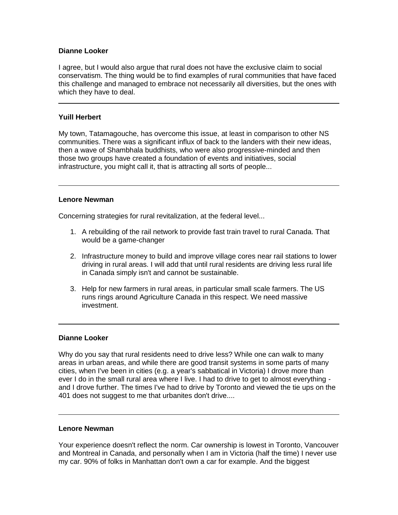## **Dianne Looker**

I agree, but I would also argue that rural does not have the exclusive claim to social conservatism. The thing would be to find examples of rural communities that have faced this challenge and managed to embrace not necessarily all diversities, but the ones with which they have to deal.

## **Yuill Herbert**

My town, Tatamagouche, has overcome this issue, at least in comparison to other NS communities. There was a significant influx of back to the landers with their new ideas, then a wave of Shambhala buddhists, who were also progressive-minded and then those two groups have created a foundation of events and initiatives, social infrastructure, you might call it, that is attracting all sorts of people...

#### **Lenore Newman**

Concerning strategies for rural revitalization, at the federal level...

- 1. A rebuilding of the rail network to provide fast train travel to rural Canada. That would be a game-changer
- 2. Infrastructure money to build and improve village cores near rail stations to lower driving in rural areas. I will add that until rural residents are driving less rural life in Canada simply isn't and cannot be sustainable.
- 3. Help for new farmers in rural areas, in particular small scale farmers. The US runs rings around Agriculture Canada in this respect. We need massive investment.

#### **Dianne Looker**

Why do you say that rural residents need to drive less? While one can walk to many areas in urban areas, and while there are good transit systems in some parts of many cities, when I've been in cities (e.g. a year's sabbatical in Victoria) I drove more than ever I do in the small rural area where I live. I had to drive to get to almost everything and I drove further. The times I've had to drive by Toronto and viewed the tie ups on the 401 does not suggest to me that urbanites don't drive....

#### **Lenore Newman**

Your experience doesn't reflect the norm. Car ownership is lowest in Toronto, Vancouver and Montreal in Canada, and personally when I am in Victoria (half the time) I never use my car. 90% of folks in Manhattan don't own a car for example. And the biggest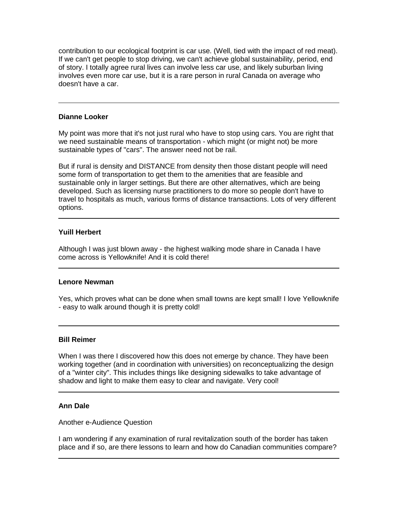contribution to our ecological footprint is car use. (Well, tied with the impact of red meat). If we can't get people to stop driving, we can't achieve global sustainability, period, end of story. I totally agree rural lives can involve less car use, and likely suburban living involves even more car use, but it is a rare person in rural Canada on average who doesn't have a car.

#### **Dianne Looker**

My point was more that it's not just rural who have to stop using cars. You are right that we need sustainable means of transportation - which might (or might not) be more sustainable types of "cars". The answer need not be rail.

But if rural is density and DISTANCE from density then those distant people will need some form of transportation to get them to the amenities that are feasible and sustainable only in larger settings. But there are other alternatives, which are being developed. Such as licensing nurse practitioners to do more so people don't have to travel to hospitals as much, various forms of distance transactions. Lots of very different options.

#### **Yuill Herbert**

Although I was just blown away - the highest walking mode share in Canada I have come across is Yellowknife! And it is cold there!

#### **Lenore Newman**

Yes, which proves what can be done when small towns are kept small! I love Yellowknife - easy to walk around though it is pretty cold!

## **Bill Reimer**

When I was there I discovered how this does not emerge by chance. They have been working together (and in coordination with universities) on reconceptualizing the design of a "winter city". This includes things like designing sidewalks to take advantage of shadow and light to make them easy to clear and navigate. Very cool!

## **Ann Dale**

Another e-Audience Question

I am wondering if any examination of rural revitalization south of the border has taken place and if so, are there lessons to learn and how do Canadian communities compare?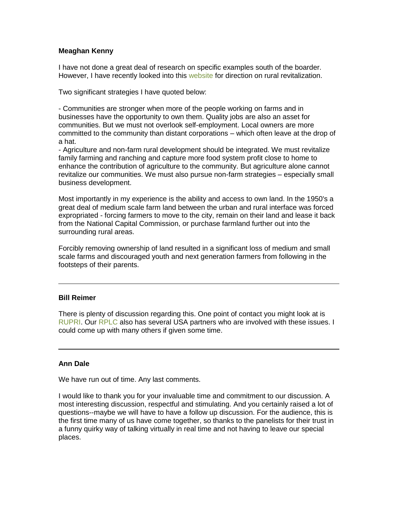## **Meaghan Kenny**

I have not done a great deal of research on specific examples south of the boarder. However, I have recently looked into this [website](http://www.cfra.org/strategies_to_revitalize_rural_america) for direction on rural revitalization.

Two significant strategies I have quoted below:

- Communities are stronger when more of the people working on farms and in businesses have the opportunity to own them. Quality jobs are also an asset for communities. But we must not overlook self-employment. Local owners are more committed to the community than distant corporations – which often leave at the drop of a hat.

- Agriculture and non-farm rural development should be integrated. We must revitalize family farming and ranching and capture more food system profit close to home to enhance the contribution of agriculture to the community. But agriculture alone cannot revitalize our communities. We must also pursue non-farm strategies – especially small business development.

Most importantly in my experience is the ability and access to own land. In the 1950's a great deal of medium scale farm land between the urban and rural interface was forced expropriated - forcing farmers to move to the city, remain on their land and lease it back from the National Capital Commission, or purchase farmland further out into the surrounding rural areas.

Forcibly removing ownership of land resulted in a significant loss of medium and small scale farms and discouraged youth and next generation farmers from following in the footsteps of their parents.

#### **Bill Reimer**

There is plenty of discussion regarding this. One point of contact you might look at is [RUPRI.](http://rupri.org/) Our [RPLC](http://rplc-capr.ca/) also has several USA partners who are involved with these issues. I could come up with many others if given some time.

#### **Ann Dale**

We have run out of time. Any last comments.

I would like to thank you for your invaluable time and commitment to our discussion. A most interesting discussion, respectful and stimulating. And you certainly raised a lot of questions--maybe we will have to have a follow up discussion. For the audience, this is the first time many of us have come together, so thanks to the panelists for their trust in a funny quirky way of talking virtually in real time and not having to leave our special places.